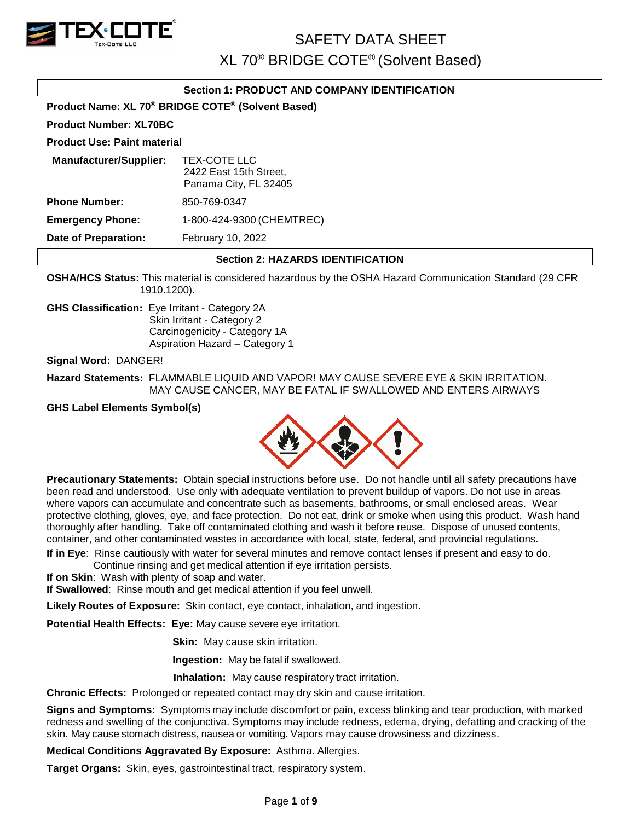

# **Section 1: PRODUCT AND COMPANY IDENTIFICATION**

**Product Name: XL 70® BRIDGE COTE® (Solvent Based)**

**Product Number: XL70BC**

#### **Product Use: Paint material**

| <b>Manufacturer/Supplier:</b> | TEX-COTE LLC<br>2422 East 15th Street,<br>Panama City, FL 32405 |
|-------------------------------|-----------------------------------------------------------------|
| <b>Phone Number:</b>          | 850-769-0347                                                    |
| <b>Emergency Phone:</b>       | 1-800-424-9300 (CHEMTREC)                                       |
| <b>Date of Preparation:</b>   | February 10, 2022                                               |

#### **Section 2: HAZARDS IDENTIFICATION**

**OSHA/HCS Status:** This material is considered hazardous by the OSHA Hazard Communication Standard (29 CFR 1910.1200).

**GHS Classification:** Eye Irritant - Category 2A Skin Irritant - Category 2 Carcinogenicity - Category 1A Aspiration Hazard – Category 1

**Signal Word:** DANGER!

**Hazard Statements:** FLAMMABLE LIQUID AND VAPOR! MAY CAUSE SEVERE EYE & SKIN IRRITATION. MAY CAUSE CANCER, MAY BE FATAL IF SWALLOWED AND ENTERS AIRWAYS

**GHS Label Elements Symbol(s)**



**Precautionary Statements:** Obtain special instructions before use. Do not handle until all safety precautions have been read and understood. Use only with adequate ventilation to prevent buildup of vapors. Do not use in areas where vapors can accumulate and concentrate such as basements, bathrooms, or small enclosed areas. Wear protective clothing, gloves, eye, and face protection. Do not eat, drink or smoke when using this product. Wash hand thoroughly after handling. Take off contaminated clothing and wash it before reuse. Dispose of unused contents, container, and other contaminated wastes in accordance with local, state, federal, and provincial regulations.

**If in Eye**: Rinse cautiously with water for several minutes and remove contact lenses if present and easy to do. Continue rinsing and get medical attention if eye irritation persists.

**If on Skin**: Wash with plenty of soap and water.

**If Swallowed**: Rinse mouth and get medical attention if you feel unwell.

**Likely Routes of Exposure:** Skin contact, eye contact, inhalation, and ingestion.

**Potential Health Effects: Eye:** May cause severe eye irritation.

**Skin:** May cause skin irritation.

**Ingestion:** May be fatal if swallowed.

 **Inhalation:** May cause respiratory tract irritation.

**Chronic Effects:** Prolonged or repeated contact may dry skin and cause irritation.

**Signs and Symptoms:** Symptoms may include discomfort or pain, excess blinking and tear production, with marked redness and swelling of the conjunctiva. Symptoms may include redness, edema, drying, defatting and cracking of the skin. May cause stomach distress, nausea or vomiting. Vapors may cause drowsiness and dizziness.

**Medical Conditions Aggravated By Exposure:** Asthma. Allergies.

**Target Organs:** Skin, eyes, gastrointestinal tract, respiratory system.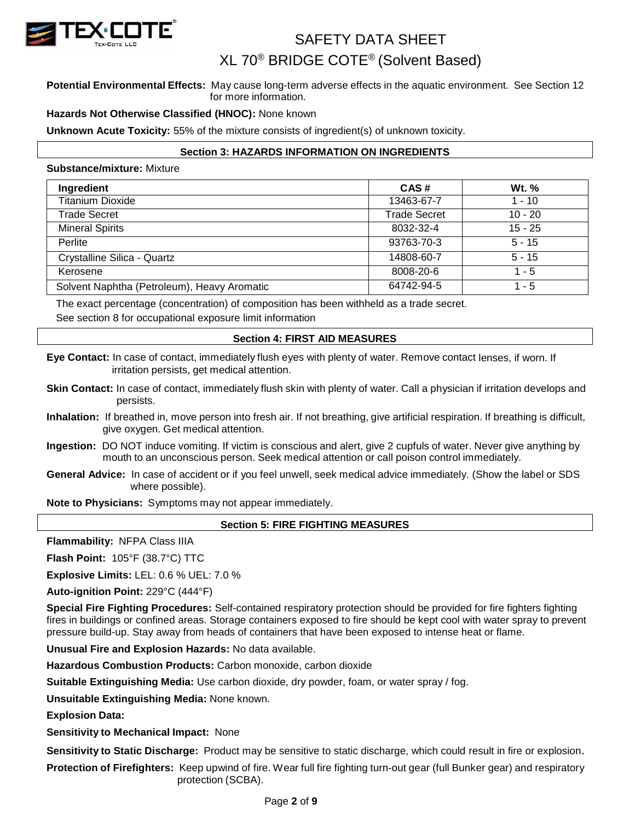

# XL 70® BRIDGE COTE® (Solvent Based)

## **Potential Environmental Effects:** May cause long-term adverse effects in the aquatic environment. See Section 12 for more information.

# **Hazards Not Otherwise Classified (HNOC):** None known

**Unknown Acute Toxicity:** 55% of the mixture consists of ingredient(s) of unknown toxicity.

# **Section 3: HAZARDS INFORMATION ON INGREDIENTS**

#### **Substance/mixture:** Mixture

| Ingredient                                  | CAS#                | <b>Wt.</b> % |
|---------------------------------------------|---------------------|--------------|
| <b>Titanium Dioxide</b>                     | 13463-67-7          | $1 - 10$     |
| Trade Secret                                | <b>Trade Secret</b> | $10 - 20$    |
| <b>Mineral Spirits</b>                      | 8032-32-4           | $15 - 25$    |
| Perlite                                     | 93763-70-3          | $5 - 15$     |
| Crystalline Silica - Quartz                 | 14808-60-7          | $5 - 15$     |
| Kerosene                                    | 8008-20-6           | $1 - 5$      |
| Solvent Naphtha (Petroleum), Heavy Aromatic | 64742-94-5          | $1 - 5$      |

The exact percentage (concentration) of composition has been withheld as a trade secret. See section 8 for occupational exposure limit information

# **Section 4: FIRST AID MEASURES**

**Eye Contact:** In case of contact, immediately flush eyes with plenty of water. Remove contact lenses, if worn. If irritation persists, get medical attention.

- **Skin Contact:** In case of contact, immediately flush skin with plenty of water. Call a physician if irritation develops and persists.
- **Inhalation:** If breathed in, move person into fresh air. If not breathing, give artificial respiration. If breathing is difficult, give oxygen. Get medical attention.
- **Ingestion:** DO NOT induce vomiting. If victim is conscious and alert, give 2 cupfuls of water. Never give anything by mouth to an unconscious person. Seek medical attention or call poison control immediately.
- **General Advice:** In case of accident or if you feel unwell, seek medical advice immediately. (Show the label or SDS where possible).

**Note to Physicians:** Symptoms may not appear immediately.

# **Section 5: FIRE FIGHTING MEASURES**

**Flammability:** NFPA Class IIIA

**Flash Point:** 105°F (38.7°C) TTC

**Explosive Limits:** LEL: 0.6 % UEL: 7.0 %

**Auto-ignition Point:** 229°C (444°F)

**Special Fire Fighting Procedures:** Self-contained respiratory protection should be provided for fire fighters fighting fires in buildings or confined areas. Storage containers exposed to fire should be kept cool with water spray to prevent pressure build-up. Stay away from heads of containers that have been exposed to intense heat or flame.

**Unusual Fire and Explosion Hazards:** No data available.

**Hazardous Combustion Products:** Carbon monoxide, carbon dioxide

**Suitable Extinguishing Media:** Use carbon dioxide, dry powder, foam, or water spray / fog.

**Unsuitable Extinguishing Media:** None known.

**Explosion Data:**

**Sensitivity to Mechanical Impact:** None

**Sensitivity to Static Discharge:** Product may be sensitive to static discharge, which could result in fire or explosion.

**Protection of Firefighters:** Keep upwind of fire. Wear full fire fighting turn-out gear (full Bunker gear) and respiratory protection (SCBA).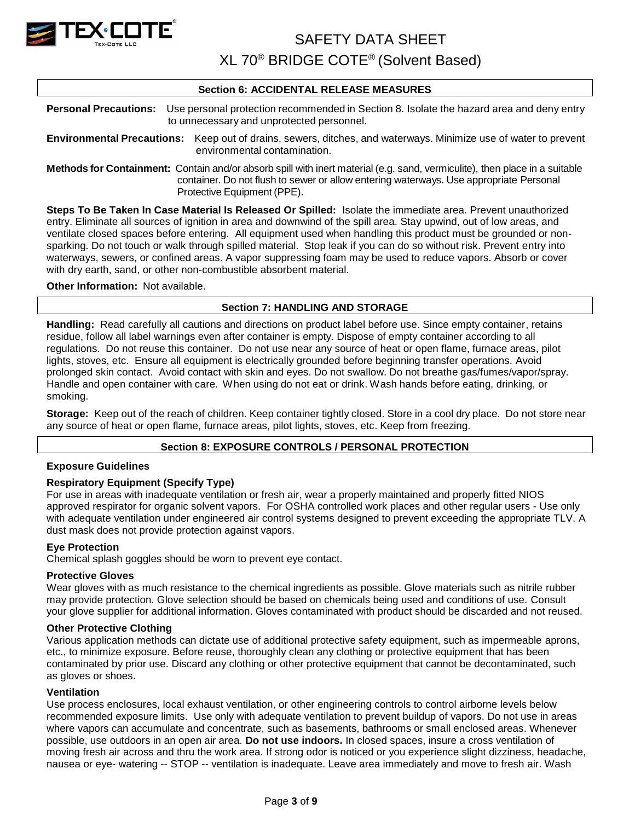

XL 70® BRIDGE COTE® (Solvent Based)

# **Section 6: ACCIDENTAL RELEASE MEASURES**

**Personal Precautions:** Use personal protection recommended in Section 8. Isolate the hazard area and deny entry to unnecessary and unprotected personnel.

**Environmental Precautions:** Keep out of drains, sewers, ditches, and waterways. Minimize use of water to prevent environmental contamination.

**Methods for Containment:** Contain and/or absorb spill with inert material (e.g. sand, vermiculite), then place in a suitable container. Do not flush to sewer or allow entering waterways. Use appropriate Personal Protective Equipment (PPE).

**Steps To Be Taken In Case Material Is Released Or Spilled:** Isolate the immediate area. Prevent unauthorized entry. Eliminate all sources of ignition in area and downwind of the spill area. Stay upwind, out of low areas, and ventilate closed spaces before entering. All equipment used when handling this product must be grounded or nonsparking. Do not touch or walk through spilled material. Stop leak if you can do so without risk. Prevent entry into waterways, sewers, or confined areas. A vapor suppressing foam may be used to reduce vapors. Absorb or cover with dry earth, sand, or other non-combustible absorbent material.

#### **Other Information:** Not available.

# **Section 7: HANDLING AND STORAGE**

**Handling:** Read carefully all cautions and directions on product label before use. Since empty container, retains residue, follow all label warnings even after container is empty. Dispose of empty container according to all regulations. Do not reuse this container. Do not use near any source of heat or open flame, furnace areas, pilot lights, stoves, etc. Ensure all equipment is electrically grounded before beginning transfer operations. Avoid prolonged skin contact. Avoid contact with skin and eyes. Do not swallow. Do not breathe gas/fumes/vapor/spray. Handle and open container with care. When using do not eat or drink. Wash hands before eating, drinking, or smoking.

**Storage:** Keep out of the reach of children. Keep container tightly closed. Store in a cool dry place. Do not store near any source of heat or open flame, furnace areas, pilot lights, stoves, etc. Keep from freezing.

# **Section 8: EXPOSURE CONTROLS / PERSONAL PROTECTION**

# **Exposure Guidelines**

# **Respiratory Equipment (Specify Type)**

For use in areas with inadequate ventilation or fresh air, wear a properly maintained and properly fitted NIOS approved respirator for organic solvent vapors. For OSHA controlled work places and other regular users - Use only with adequate ventilation under engineered air control systems designed to prevent exceeding the appropriate TLV. A dust mask does not provide protection against vapors.

# **Eye Protection**

Chemical splash goggles should be worn to prevent eye contact.

# **Protective Gloves**

Wear gloves with as much resistance to the chemical ingredients as possible. Glove materials such as nitrile rubber may provide protection. Glove selection should be based on chemicals being used and conditions of use. Consult your glove supplier for additional information. Gloves contaminated with product should be discarded and not reused.

#### **Other Protective Clothing**

Various application methods can dictate use of additional protective safety equipment, such as impermeable aprons, etc., to minimize exposure. Before reuse, thoroughly clean any clothing or protective equipment that has been contaminated by prior use. Discard any clothing or other protective equipment that cannot be decontaminated, such as gloves or shoes.

#### **Ventilation**

Use process enclosures, local exhaust ventilation, or other engineering controls to control airborne levels below recommended exposure limits. Use only with adequate ventilation to prevent buildup of vapors. Do not use in areas where vapors can accumulate and concentrate, such as basements, bathrooms or small enclosed areas. Whenever possible, use outdoors in an open air area. **Do not use indoors.** In closed spaces, insure a cross ventilation of moving fresh air across and thru the work area. If strong odor is noticed or you experience slight dizziness, headache, nausea or eye- watering -- STOP -- ventilation is inadequate. Leave area immediately and move to fresh air. Wash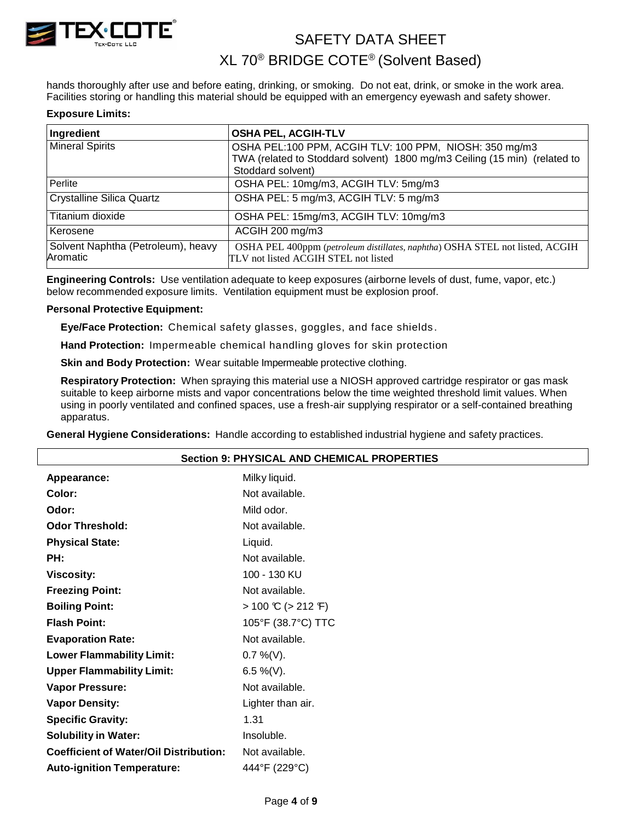

# XL 70® BRIDGE COTE® (Solvent Based)

hands thoroughly after use and before eating, drinking, or smoking. Do not eat, drink, or smoke in the work area. Facilities storing or handling this material should be equipped with an emergency eyewash and safety shower.

# **Exposure Limits:**

| Ingredient                                     | <b>OSHA PEL, ACGIH-TLV</b>                                                                                           |
|------------------------------------------------|----------------------------------------------------------------------------------------------------------------------|
| <b>Mineral Spirits</b>                         | OSHA PEL:100 PPM, ACGIH TLV: 100 PPM, NIOSH: 350 mg/m3                                                               |
|                                                | TWA (related to Stoddard solvent) 1800 mg/m3 Ceiling (15 min) (related to                                            |
|                                                | Stoddard solvent)                                                                                                    |
| Perlite                                        | OSHA PEL: 10mg/m3, ACGIH TLV: 5mg/m3                                                                                 |
| <b>Crystalline Silica Quartz</b>               | OSHA PEL: 5 mg/m3, ACGIH TLV: 5 mg/m3                                                                                |
| Titanium dioxide                               | OSHA PEL: 15mg/m3, ACGIH TLV: 10mg/m3                                                                                |
| Kerosene                                       | ACGIH 200 mg/m3                                                                                                      |
| Solvent Naphtha (Petroleum), heavy<br>Aromatic | OSHA PEL 400ppm (petroleum distillates, naphtha) OSHA STEL not listed, ACGIH<br>TLV not listed ACGIH STEL not listed |

**Engineering Controls:** Use ventilation adequate to keep exposures (airborne levels of dust, fume, vapor, etc.) below recommended exposure limits. Ventilation equipment must be explosion proof.

#### **Personal Protective Equipment:**

**Eye/Face Protection:** Chemical safety glasses, goggles, and face shields .

**Hand Protection:** Impermeable chemical handling gloves for skin protection

**Skin and Body Protection:** Wear suitable Impermeable protective clothing.

**Respiratory Protection:** When spraying this material use a NIOSH approved cartridge respirator or gas mask suitable to keep airborne mists and vapor concentrations below the time weighted threshold limit values. When using in poorly ventilated and confined spaces, use a fresh-air supplying respirator or a self-contained breathing apparatus.

**General Hygiene Considerations:** Handle according to established industrial hygiene and safety practices.

| <b>Section 9: PHYSICAL AND CHEMICAL PROPERTIES</b> |  |  |  |
|----------------------------------------------------|--|--|--|
| Milky liquid.                                      |  |  |  |
| Not available.                                     |  |  |  |
| Mild odor.                                         |  |  |  |
| Not available.                                     |  |  |  |
| Liquid.                                            |  |  |  |
| Not available.                                     |  |  |  |
| 100 - 130 KU                                       |  |  |  |
| Not available.                                     |  |  |  |
| $> 100 \text{ C}$ ( $> 212 \text{ F}$ )            |  |  |  |
| 105°F (38.7°C) TTC                                 |  |  |  |
| Not available.                                     |  |  |  |
| $0.7\%$ (V).                                       |  |  |  |
| 6.5 %(V).                                          |  |  |  |
| Not available.                                     |  |  |  |
| Lighter than air.                                  |  |  |  |
| 1.31                                               |  |  |  |
| Insoluble.                                         |  |  |  |
| Not available.                                     |  |  |  |
| 444°F (229°C)                                      |  |  |  |
|                                                    |  |  |  |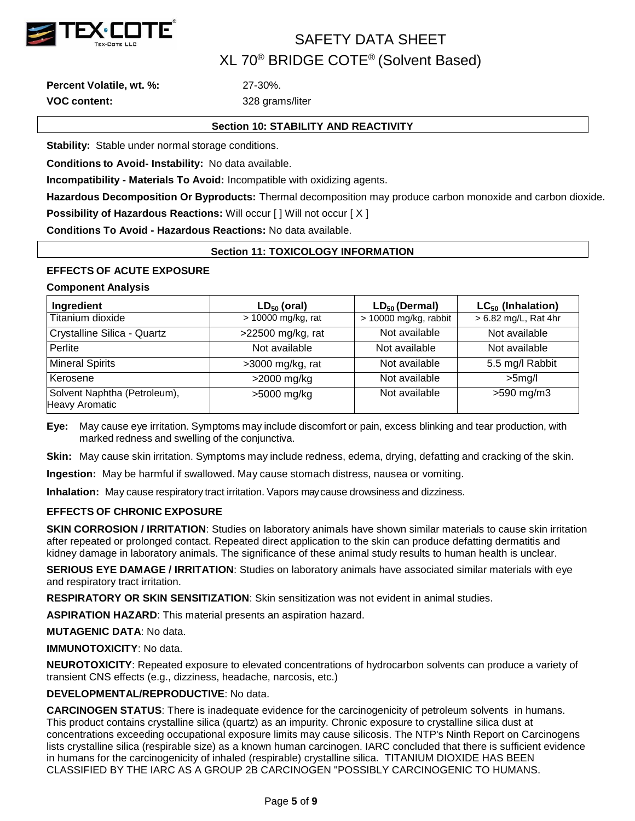

**Percent Volatile, wt. %:** 27-30%. **VOC content:** 328 grams/liter

# **Section 10: STABILITY AND REACTIVITY**

**Stability:** Stable under normal storage conditions.

**Conditions to Avoid- Instability:** No data available.

**Incompatibility - Materials To Avoid:** Incompatible with oxidizing agents.

**Hazardous Decomposition Or Byproducts:** Thermal decomposition may produce carbon monoxide and carbon dioxide. **Possibility of Hazardous Reactions: Will occur [ ] Will not occur [ X ]** 

**Conditions To Avoid - Hazardous Reactions:** No data available.

# **Section 11: TOXICOLOGY INFORMATION**

# **EFFECTS OF ACUTE EXPOSURE**

# **Component Analysis**

| Ingredient                                            | $LD_{50}$ (oral)   | $LD_{50}$ (Dermal)    | $LC_{50}$ (Inhalation) |
|-------------------------------------------------------|--------------------|-----------------------|------------------------|
| Titanium dioxide                                      | > 10000 mg/kg, rat | > 10000 mg/kg, rabbit | > 6.82 mg/L, Rat 4hr   |
| Crystalline Silica - Quartz                           | >22500 mg/kg, rat  | Not available         | Not available          |
| Perlite                                               | Not available      | Not available         | Not available          |
| <b>Mineral Spirits</b>                                | $>3000$ mg/kg, rat | Not available         | 5.5 mg/l Rabbit        |
| Kerosene                                              | >2000 mg/kg        | Not available         | $>5$ mg/l              |
| Solvent Naphtha (Petroleum),<br><b>Heavy Aromatic</b> | >5000 mg/kg        | Not available         | $>590$ mg/m3           |

**Eye:** May cause eye irritation. Symptoms may include discomfort or pain, excess blinking and tear production, with marked redness and swelling of the conjunctiva.

**Skin:** May cause skin irritation. Symptoms may include redness, edema, drying, defatting and cracking of the skin.

**Ingestion:** May be harmful if swallowed. May cause stomach distress, nausea or vomiting.

**Inhalation:** May cause respiratory tract irritation. Vapors maycause drowsiness and dizziness.

# **EFFECTS OF CHRONIC EXPOSURE**

**SKIN CORROSION / IRRITATION**: Studies on laboratory animals have shown similar materials to cause skin irritation after repeated or prolonged contact. Repeated direct application to the skin can produce defatting dermatitis and kidney damage in laboratory animals. The significance of these animal study results to human health is unclear.

**SERIOUS EYE DAMAGE / IRRITATION**: Studies on laboratory animals have associated similar materials with eye and respiratory tract irritation.

**RESPIRATORY OR SKIN SENSITIZATION**: Skin sensitization was not evident in animal studies.

**ASPIRATION HAZARD**: This material presents an aspiration hazard.

**MUTAGENIC DATA**: No data.

**IMMUNOTOXICITY**: No data.

**NEUROTOXICITY**: Repeated exposure to elevated concentrations of hydrocarbon solvents can produce a variety of transient CNS effects (e.g., dizziness, headache, narcosis, etc.)

# **DEVELOPMENTAL/REPRODUCTIVE**: No data.

**CARCINOGEN STATUS**: There is inadequate evidence for the carcinogenicity of petroleum solvents in humans. This product contains crystalline silica (quartz) as an impurity. Chronic exposure to crystalline silica dust at concentrations exceeding occupational exposure limits may cause silicosis. The NTP's Ninth Report on Carcinogens lists crystalline silica (respirable size) as a known human carcinogen. IARC concluded that there is sufficient evidence in humans for the carcinogenicity of inhaled (respirable) crystalline silica. TITANIUM DIOXIDE HAS BEEN CLASSIFIED BY THE IARC AS A GROUP 2B CARCINOGEN "POSSIBLY CARCINOGENIC TO HUMANS.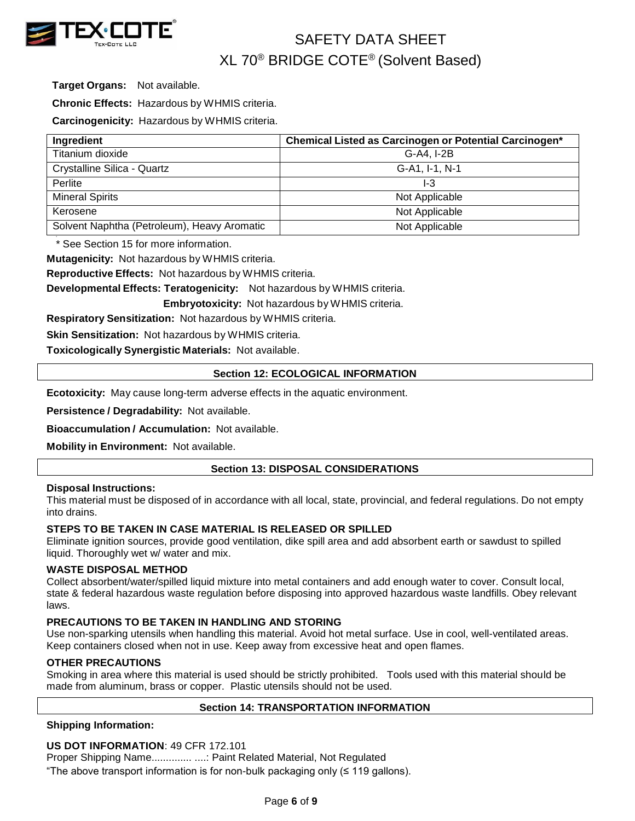

**Target Organs:** Not available.

**Chronic Effects:** Hazardous by WHMIS criteria.

**Carcinogenicity:** Hazardous by WHMIS criteria.

| Ingredient                                  | Chemical Listed as Carcinogen or Potential Carcinogen* |
|---------------------------------------------|--------------------------------------------------------|
| Titanium dioxide                            | G-A4, I-2B                                             |
| Crystalline Silica - Quartz                 | G-A1, I-1, N-1                                         |
| Perlite                                     | I-3                                                    |
| <b>Mineral Spirits</b>                      | Not Applicable                                         |
| Kerosene                                    | Not Applicable                                         |
| Solvent Naphtha (Petroleum), Heavy Aromatic | Not Applicable                                         |

\* See Section 15 for more information.

**Mutagenicity:** Not hazardous by WHMIS criteria.

**Reproductive Effects:** Not hazardous by WHMIS criteria.

**Developmental Effects: Teratogenicity:** Not hazardous by WHMIS criteria.

**Embryotoxicity:** Not hazardous by WHMIS criteria.

**Respiratory Sensitization:** Not hazardous by WHMIS criteria.

**Skin Sensitization:** Not hazardous by WHMIS criteria.

**Toxicologically Synergistic Materials:** Not available.

# **Section 12: ECOLOGICAL INFORMATION**

**Ecotoxicity:** May cause long-term adverse effects in the aquatic environment.

**Persistence / Degradability:** Not available.

**Bioaccumulation / Accumulation:** Not available.

**Mobility in Environment:** Not available.

# **Section 13: DISPOSAL CONSIDERATIONS**

# **Disposal Instructions:**

This material must be disposed of in accordance with all local, state, provincial, and federal regulations. Do not empty into drains.

# **STEPS TO BE TAKEN IN CASE MATERIAL IS RELEASED OR SPILLED**

Eliminate ignition sources, provide good ventilation, dike spill area and add absorbent earth or sawdust to spilled liquid. Thoroughly wet w/ water and mix.

# **WASTE DISPOSAL METHOD**

Collect absorbent/water/spilled liquid mixture into metal containers and add enough water to cover. Consult local, state & federal hazardous waste regulation before disposing into approved hazardous waste landfills. Obey relevant laws.

# **PRECAUTIONS TO BE TAKEN IN HANDLING AND STORING**

Use non-sparking utensils when handling this material. Avoid hot metal surface. Use in cool, well-ventilated areas. Keep containers closed when not in use. Keep away from excessive heat and open flames.

# **OTHER PRECAUTIONS**

Smoking in area where this material is used should be strictly prohibited. Tools used with this material should be made from aluminum, brass or copper. Plastic utensils should not be used.

# **Section 14: TRANSPORTATION INFORMATION**

**Shipping Information:**

# **US DOT INFORMATION**: 49 CFR 172.101

Proper Shipping Name.............. ....: Paint Related Material, Not Regulated

"The above transport information is for non-bulk packaging only (≤ 119 gallons).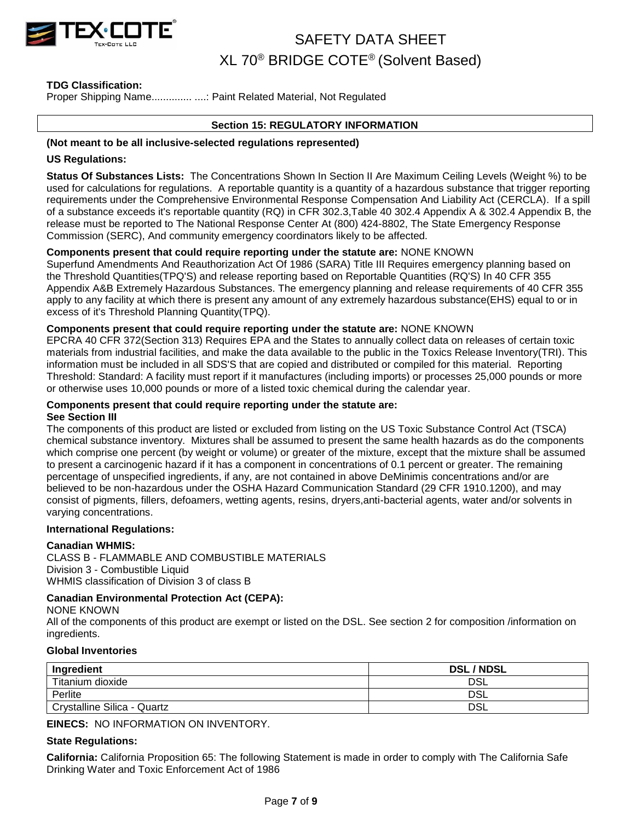

# **TDG Classification:**

Proper Shipping Name..................... ....: Paint Related Material, Not Regulated

# **Section 15: REGULATORY INFORMATION**

#### **(Not meant to be all inclusive-selected regulations represented)**

#### **US Regulations:**

**Status Of Substances Lists:** The Concentrations Shown In Section II Are Maximum Ceiling Levels (Weight %) to be used for calculations for regulations. A reportable quantity is a quantity of a hazardous substance that trigger reporting requirements under the Comprehensive Environmental Response Compensation And Liability Act (CERCLA). If a spill of a substance exceeds it's reportable quantity (RQ) in CFR 302.3,Table 40 302.4 Appendix A & 302.4 Appendix B, the release must be reported to The National Response Center At (800) 424-8802, The State Emergency Response Commission (SERC), And community emergency coordinators likely to be affected.

# **Components present that could require reporting under the statute are:** NONE KNOWN

Superfund Amendments And Reauthorization Act Of 1986 (SARA) Title III Requires emergency planning based on the Threshold Quantities(TPQ'S) and release reporting based on Reportable Quantities (RQ'S) In 40 CFR 355 Appendix A&B Extremely Hazardous Substances. The emergency planning and release requirements of 40 CFR 355 apply to any facility at which there is present any amount of any extremely hazardous substance(EHS) equal to or in excess of it's Threshold Planning Quantity(TPQ).

# **Components present that could require reporting under the statute are:** NONE KNOWN

EPCRA 40 CFR 372(Section 313) Requires EPA and the States to annually collect data on releases of certain toxic materials from industrial facilities, and make the data available to the public in the Toxics Release Inventory(TRI). This information must be included in all SDS'S that are copied and distributed or compiled for this material. Reporting Threshold: Standard: A facility must report if it manufactures (including imports) or processes 25,000 pounds or more or otherwise uses 10,000 pounds or more of a listed toxic chemical during the calendar year.

#### **Components present that could require reporting under the statute are: See Section III**

The components of this product are listed or excluded from listing on the US Toxic Substance Control Act (TSCA) chemical substance inventory. Mixtures shall be assumed to present the same health hazards as do the components which comprise one percent (by weight or volume) or greater of the mixture, except that the mixture shall be assumed to present a carcinogenic hazard if it has a component in concentrations of 0.1 percent or greater. The remaining percentage of unspecified ingredients, if any, are not contained in above DeMinimis concentrations and/or are believed to be non-hazardous under the OSHA Hazard Communication Standard (29 CFR 1910.1200), and may consist of pigments, fillers, defoamers, wetting agents, resins, dryers,anti-bacterial agents, water and/or solvents in varying concentrations.

#### **International Regulations:**

# **Canadian WHMIS:**

CLASS B - FLAMMABLE AND COMBUSTIBLE MATERIALS Division 3 - Combustible Liquid WHMIS classification of Division 3 of class B

# **Canadian Environmental Protection Act (CEPA):**

NONE KNOWN

All of the components of this product are exempt or listed on the DSL. See section 2 for composition /information on ingredients.

# **Global Inventories**

| Ingredient                  | <b>DSL/NDSL</b> |
|-----------------------------|-----------------|
| Titanium dioxide            | DSL             |
| Perlite                     | DSL             |
| Crystalline Silica - Quartz | DSL             |

**EINECS:** NO INFORMATION ON INVENTORY.

# **State Regulations:**

**California:** California Proposition 65: The following Statement is made in order to comply with The California Safe Drinking Water and Toxic Enforcement Act of 1986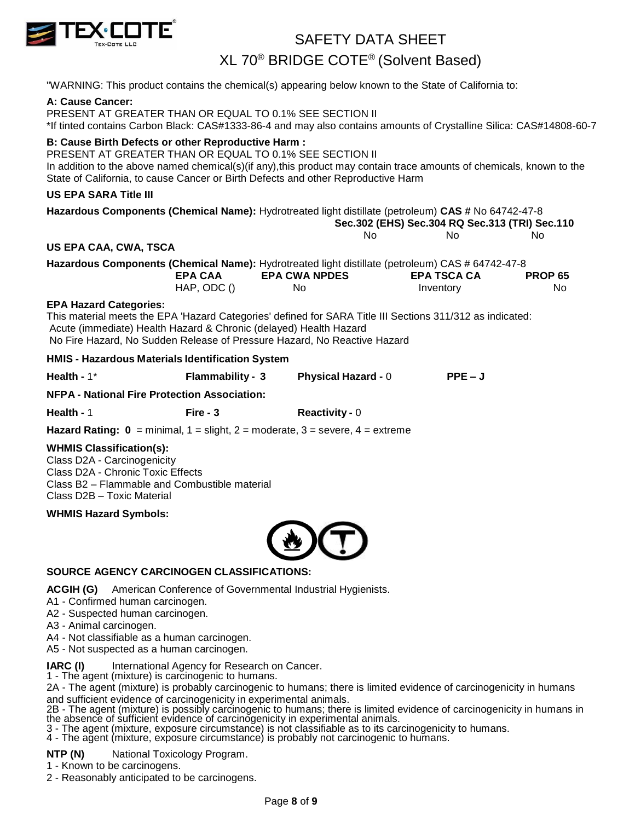

XL 70® BRIDGE COTE® (Solvent Based)

"WARNING: This product contains the chemical(s) appearing below known to the State of California to:

# **A: Cause Cancer:**

PRESENT AT GREATER THAN OR EQUAL TO 0.1% SEE SECTION II \*If tinted contains Carbon Black: CAS#1333-86-4 and may also contains amounts of Crystalline Silica: CAS#14808-60-7

# **B: Cause Birth Defects or other Reproductive Harm :**

PRESENT AT GREATER THAN OR EQUAL TO 0.1% SEE SECTION II In addition to the above named chemical(s)(if any),this product may contain trace amounts of chemicals, known to the State of California, to cause Cancer or Birth Defects and other Reproductive Harm

# **US EPA SARA Title III**

| US EPA SARA TITIE III                                                                                     |                         |                            |                                                |                |
|-----------------------------------------------------------------------------------------------------------|-------------------------|----------------------------|------------------------------------------------|----------------|
| Hazardous Components (Chemical Name): Hydrotreated light distillate (petroleum) CAS # No 64742-47-8       |                         |                            |                                                |                |
|                                                                                                           |                         |                            | Sec.302 (EHS) Sec.304 RQ Sec.313 (TRI) Sec.110 |                |
|                                                                                                           |                         | No.                        | No.                                            | No.            |
| US EPA CAA, CWA, TSCA                                                                                     |                         |                            |                                                |                |
| Hazardous Components (Chemical Name): Hydrotreated light distillate (petroleum) CAS # 64742-47-8          |                         |                            |                                                |                |
|                                                                                                           | EPA CAA                 | <b>EPA CWA NPDES</b>       | <b>EPA TSCA CA</b>                             | <b>PROP 65</b> |
|                                                                                                           | $HAP$ , ODC $()$        | No.                        | Inventory                                      | No.            |
| <b>EPA Hazard Categories:</b>                                                                             |                         |                            |                                                |                |
| This material meets the EPA 'Hazard Categories' defined for SARA Title III Sections 311/312 as indicated: |                         |                            |                                                |                |
| Acute (immediate) Health Hazard & Chronic (delayed) Health Hazard                                         |                         |                            |                                                |                |
| No Fire Hazard, No Sudden Release of Pressure Hazard, No Reactive Hazard                                  |                         |                            |                                                |                |
| HMIS - Hazardous Materials Identification System                                                          |                         |                            |                                                |                |
| Health - $1^*$                                                                                            | <b>Flammability - 3</b> | <b>Physical Hazard - 0</b> | $PPE - J$                                      |                |

**NFPA - National Fire Protection Association:**

**Health -** 1 **Fire - 3 Reactivity -** 0

**Hazard Rating:**  $0 = \text{minimal}$ **,**  $1 = \text{slight}$ **,**  $2 = \text{moderate}$ **,**  $3 = \text{severe}$ **,**  $4 = \text{extreme}$ 

# **WHMIS Classification(s):**

Class D2A - Carcinogenicity Class D2A - Chronic Toxic Effects Class B2 – Flammable and Combustible material Class D2B – Toxic Material

**WHMIS Hazard Symbols:**



# **SOURCE AGENCY CARCINOGEN CLASSIFICATIONS:**

**ACGIH (G)** American Conference of Governmental Industrial Hygienists.

A1 - Confirmed human carcinogen.

A2 - Suspected human carcinogen.

A3 - Animal carcinogen.

A4 - Not classifiable as a human carcinogen.

A5 - Not suspected as a human carcinogen.

**IARC (I)** International Agency for Research on Cancer.

1 - The agent (mixture) is carcinogenic to humans.

2A - The agent (mixture) is probably carcinogenic to humans; there is limited evidence of carcinogenicity in humans and sufficient evidence of carcinogenicity in experimental animals.

2B - The agent (mixture) is possibly carcinogenic to humans; there is limited evidence of carcinogenicity in humans in the absence of sufficient evidence of carcinogenicity in experimental animals.

3 - The agent (mixture, exposure circumstance) is not classifiable as to its carcinogenicity to humans.

4 - The agent (mixture, exposure circumstance) is probably not carcinogenic to humans.

**NTP (N)** National Toxicology Program.

1 - Known to be carcinogens.

2 - Reasonably anticipated to be carcinogens.